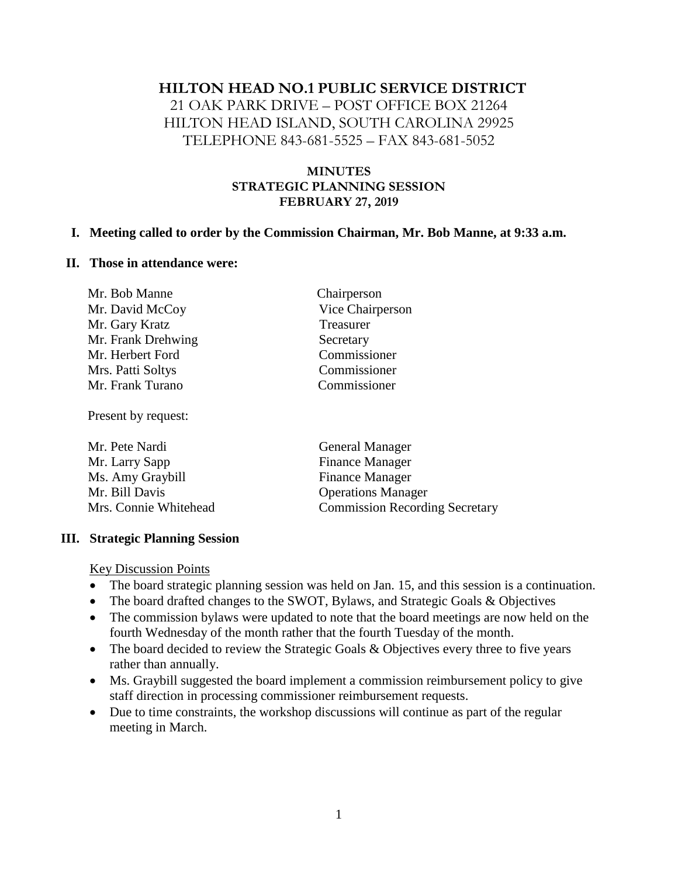## **HILTON HEAD NO.1 PUBLIC SERVICE DISTRICT** 21 OAK PARK DRIVE – POST OFFICE BOX 21264 HILTON HEAD ISLAND, SOUTH CAROLINA 29925 TELEPHONE 843-681-5525 – FAX 843-681-5052

### **MINUTES STRATEGIC PLANNING SESSION FEBRUARY 27, 2019**

#### **I. Meeting called to order by the Commission Chairman, Mr. Bob Manne, at 9:33 a.m.**

#### **II. Those in attendance were:**

| Mr. Bob Manne      | Chairperson      |
|--------------------|------------------|
| Mr. David McCoy    | Vice Chairperson |
| Mr. Gary Kratz     | Treasurer        |
| Mr. Frank Drehwing | Secretary        |
| Mr. Herbert Ford   | Commissioner     |
| Mrs. Patti Soltys  | Commissioner     |
| Mr. Frank Turano   | Commissioner     |

Present by request:

| <b>General Manager</b>                |
|---------------------------------------|
| <b>Finance Manager</b>                |
| <b>Finance Manager</b>                |
| <b>Operations Manager</b>             |
| <b>Commission Recording Secretary</b> |
|                                       |

#### **III. Strategic Planning Session**

Key Discussion Points

- The board strategic planning session was held on Jan. 15, and this session is a continuation.
- The board drafted changes to the SWOT, Bylaws, and Strategic Goals & Objectives
- The commission bylaws were updated to note that the board meetings are now held on the fourth Wednesday of the month rather that the fourth Tuesday of the month.
- The board decided to review the Strategic Goals & Objectives every three to five years rather than annually.
- Ms. Graybill suggested the board implement a commission reimbursement policy to give staff direction in processing commissioner reimbursement requests.
- Due to time constraints, the workshop discussions will continue as part of the regular meeting in March.